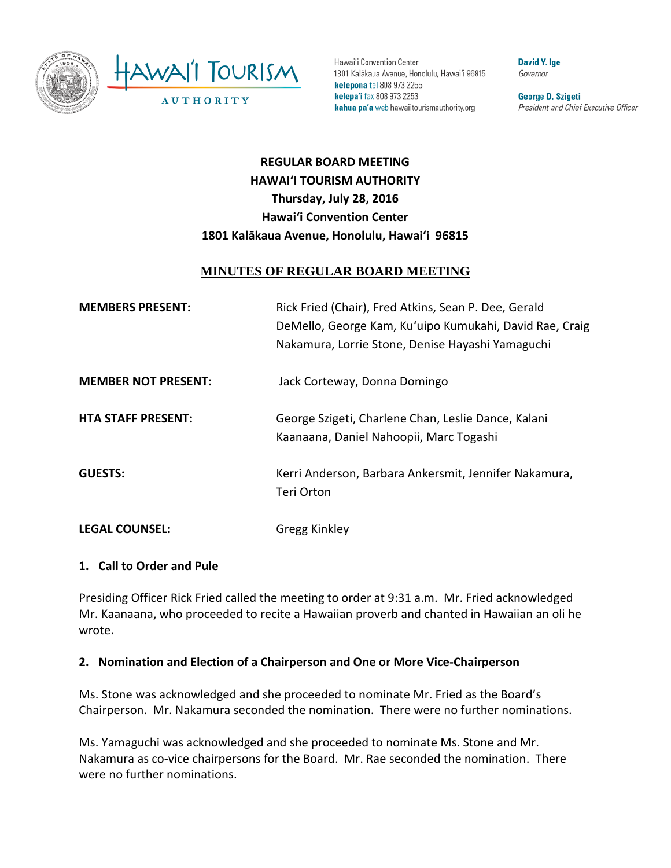

Hawai'i Convention Center 1801 Kalākaua Avenue, Honolulu, Hawai'i 96815 kelepona tel 808 973 2255 kelepa'i fax 808 973 2253 kahua pa'a web hawaiitourismauthority.org

**David Y. Ige** Governor

George D. Szigeti President and Chief Executive Officer

# **REGULAR BOARD MEETING HAWAI'I TOURISM AUTHORITY Thursday, July 28, 2016 Hawai'i Convention Center 1801 Kalākaua Avenue, Honolulu, Hawai'i 96815**

# **MINUTES OF REGULAR BOARD MEETING**

| <b>MEMBERS PRESENT:</b>    | Rick Fried (Chair), Fred Atkins, Sean P. Dee, Gerald<br>DeMello, George Kam, Ku'uipo Kumukahi, David Rae, Craig<br>Nakamura, Lorrie Stone, Denise Hayashi Yamaguchi |
|----------------------------|---------------------------------------------------------------------------------------------------------------------------------------------------------------------|
| <b>MEMBER NOT PRESENT:</b> | Jack Corteway, Donna Domingo                                                                                                                                        |
| <b>HTA STAFF PRESENT:</b>  | George Szigeti, Charlene Chan, Leslie Dance, Kalani<br>Kaanaana, Daniel Nahoopii, Marc Togashi                                                                      |
| <b>GUESTS:</b>             | Kerri Anderson, Barbara Ankersmit, Jennifer Nakamura,<br>Teri Orton                                                                                                 |
| <b>LEGAL COUNSEL:</b>      | Gregg Kinkley                                                                                                                                                       |

#### **1. Call to Order and Pule**

Presiding Officer Rick Fried called the meeting to order at 9:31 a.m. Mr. Fried acknowledged Mr. Kaanaana, who proceeded to recite a Hawaiian proverb and chanted in Hawaiian an oli he wrote.

### **2. Nomination and Election of a Chairperson and One or More Vice-Chairperson**

Ms. Stone was acknowledged and she proceeded to nominate Mr. Fried as the Board's Chairperson. Mr. Nakamura seconded the nomination. There were no further nominations.

Ms. Yamaguchi was acknowledged and she proceeded to nominate Ms. Stone and Mr. Nakamura as co-vice chairpersons for the Board. Mr. Rae seconded the nomination. There were no further nominations.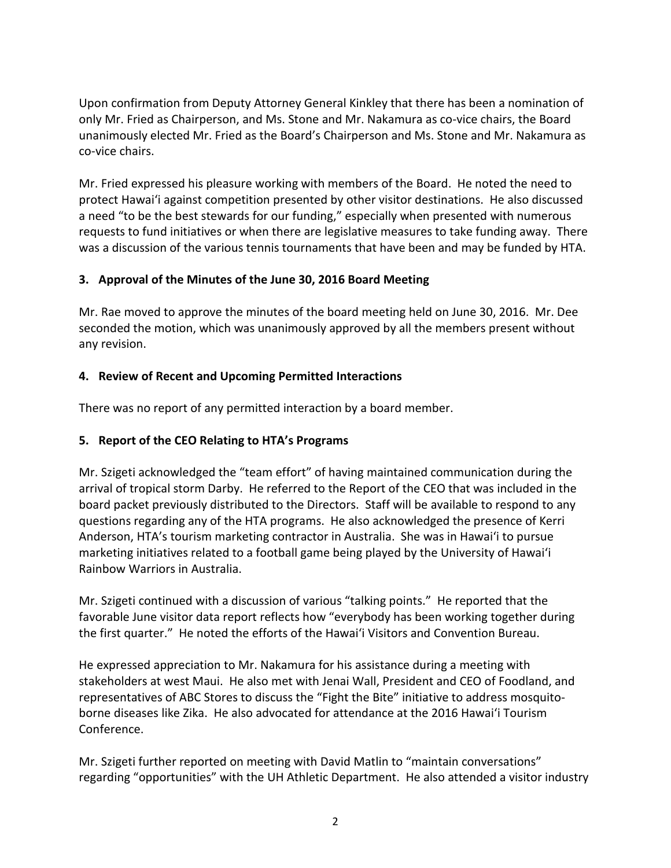Upon confirmation from Deputy Attorney General Kinkley that there has been a nomination of only Mr. Fried as Chairperson, and Ms. Stone and Mr. Nakamura as co-vice chairs, the Board unanimously elected Mr. Fried as the Board's Chairperson and Ms. Stone and Mr. Nakamura as co-vice chairs.

Mr. Fried expressed his pleasure working with members of the Board. He noted the need to protect Hawai'i against competition presented by other visitor destinations. He also discussed a need "to be the best stewards for our funding," especially when presented with numerous requests to fund initiatives or when there are legislative measures to take funding away. There was a discussion of the various tennis tournaments that have been and may be funded by HTA.

#### **3. Approval of the Minutes of the June 30, 2016 Board Meeting**

Mr. Rae moved to approve the minutes of the board meeting held on June 30, 2016. Mr. Dee seconded the motion, which was unanimously approved by all the members present without any revision.

#### **4. Review of Recent and Upcoming Permitted Interactions**

There was no report of any permitted interaction by a board member.

#### **5. Report of the CEO Relating to HTA's Programs**

Mr. Szigeti acknowledged the "team effort" of having maintained communication during the arrival of tropical storm Darby. He referred to the Report of the CEO that was included in the board packet previously distributed to the Directors. Staff will be available to respond to any questions regarding any of the HTA programs. He also acknowledged the presence of Kerri Anderson, HTA's tourism marketing contractor in Australia. She was in Hawai'i to pursue marketing initiatives related to a football game being played by the University of Hawai'i Rainbow Warriors in Australia.

Mr. Szigeti continued with a discussion of various "talking points." He reported that the favorable June visitor data report reflects how "everybody has been working together during the first quarter." He noted the efforts of the Hawai'i Visitors and Convention Bureau.

He expressed appreciation to Mr. Nakamura for his assistance during a meeting with stakeholders at west Maui. He also met with Jenai Wall, President and CEO of Foodland, and representatives of ABC Stores to discuss the "Fight the Bite" initiative to address mosquitoborne diseases like Zika. He also advocated for attendance at the 2016 Hawai'i Tourism Conference.

Mr. Szigeti further reported on meeting with David Matlin to "maintain conversations" regarding "opportunities" with the UH Athletic Department. He also attended a visitor industry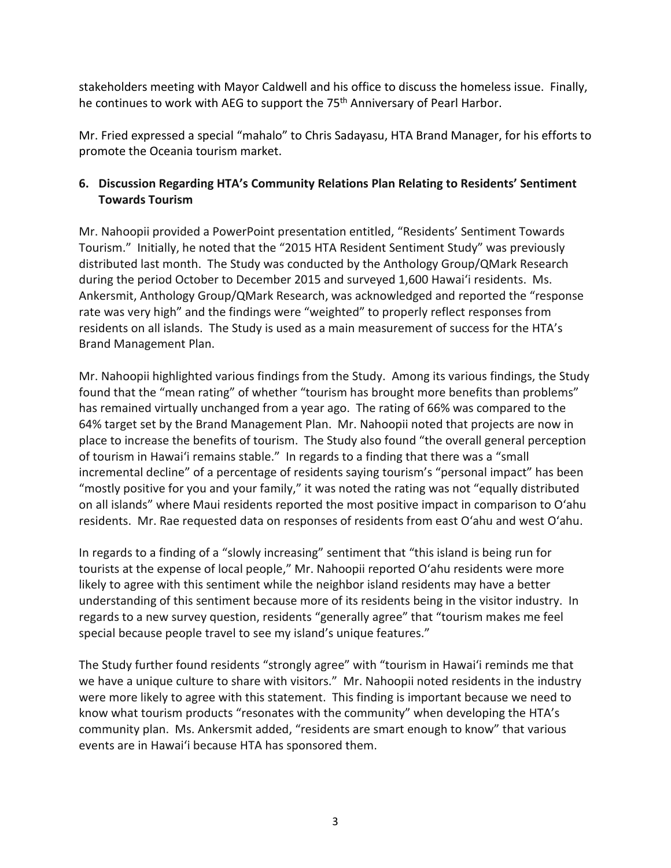stakeholders meeting with Mayor Caldwell and his office to discuss the homeless issue. Finally, he continues to work with AEG to support the 75<sup>th</sup> Anniversary of Pearl Harbor.

Mr. Fried expressed a special "mahalo" to Chris Sadayasu, HTA Brand Manager, for his efforts to promote the Oceania tourism market.

# **6. Discussion Regarding HTA's Community Relations Plan Relating to Residents' Sentiment Towards Tourism**

Mr. Nahoopii provided a PowerPoint presentation entitled, "Residents' Sentiment Towards Tourism." Initially, he noted that the "2015 HTA Resident Sentiment Study" was previously distributed last month. The Study was conducted by the Anthology Group/QMark Research during the period October to December 2015 and surveyed 1,600 Hawai'i residents. Ms. Ankersmit, Anthology Group/QMark Research, was acknowledged and reported the "response rate was very high" and the findings were "weighted" to properly reflect responses from residents on all islands. The Study is used as a main measurement of success for the HTA's Brand Management Plan.

Mr. Nahoopii highlighted various findings from the Study. Among its various findings, the Study found that the "mean rating" of whether "tourism has brought more benefits than problems" has remained virtually unchanged from a year ago. The rating of 66% was compared to the 64% target set by the Brand Management Plan. Mr. Nahoopii noted that projects are now in place to increase the benefits of tourism. The Study also found "the overall general perception of tourism in Hawai'i remains stable." In regards to a finding that there was a "small incremental decline" of a percentage of residents saying tourism's "personal impact" has been "mostly positive for you and your family," it was noted the rating was not "equally distributed on all islands" where Maui residents reported the most positive impact in comparison to O'ahu residents. Mr. Rae requested data on responses of residents from east O'ahu and west O'ahu.

In regards to a finding of a "slowly increasing" sentiment that "this island is being run for tourists at the expense of local people," Mr. Nahoopii reported O'ahu residents were more likely to agree with this sentiment while the neighbor island residents may have a better understanding of this sentiment because more of its residents being in the visitor industry. In regards to a new survey question, residents "generally agree" that "tourism makes me feel special because people travel to see my island's unique features."

The Study further found residents "strongly agree" with "tourism in Hawai'i reminds me that we have a unique culture to share with visitors." Mr. Nahoopii noted residents in the industry were more likely to agree with this statement. This finding is important because we need to know what tourism products "resonates with the community" when developing the HTA's community plan. Ms. Ankersmit added, "residents are smart enough to know" that various events are in Hawai'i because HTA has sponsored them.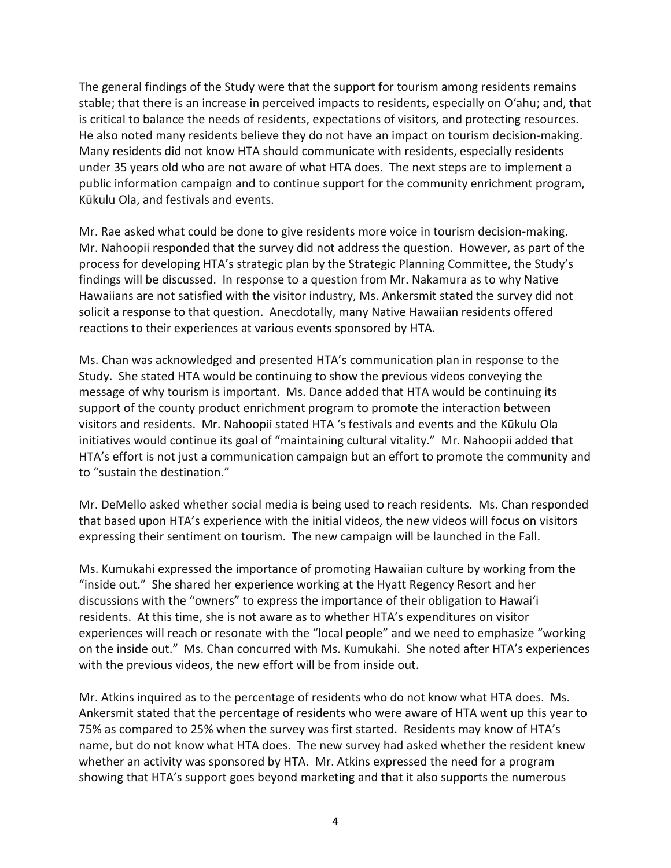The general findings of the Study were that the support for tourism among residents remains stable; that there is an increase in perceived impacts to residents, especially on O'ahu; and, that is critical to balance the needs of residents, expectations of visitors, and protecting resources. He also noted many residents believe they do not have an impact on tourism decision-making. Many residents did not know HTA should communicate with residents, especially residents under 35 years old who are not aware of what HTA does. The next steps are to implement a public information campaign and to continue support for the community enrichment program, Kūkulu Ola, and festivals and events.

Mr. Rae asked what could be done to give residents more voice in tourism decision-making. Mr. Nahoopii responded that the survey did not address the question. However, as part of the process for developing HTA's strategic plan by the Strategic Planning Committee, the Study's findings will be discussed. In response to a question from Mr. Nakamura as to why Native Hawaiians are not satisfied with the visitor industry, Ms. Ankersmit stated the survey did not solicit a response to that question. Anecdotally, many Native Hawaiian residents offered reactions to their experiences at various events sponsored by HTA.

Ms. Chan was acknowledged and presented HTA's communication plan in response to the Study. She stated HTA would be continuing to show the previous videos conveying the message of why tourism is important. Ms. Dance added that HTA would be continuing its support of the county product enrichment program to promote the interaction between visitors and residents. Mr. Nahoopii stated HTA 's festivals and events and the Kūkulu Ola initiatives would continue its goal of "maintaining cultural vitality." Mr. Nahoopii added that HTA's effort is not just a communication campaign but an effort to promote the community and to "sustain the destination."

Mr. DeMello asked whether social media is being used to reach residents. Ms. Chan responded that based upon HTA's experience with the initial videos, the new videos will focus on visitors expressing their sentiment on tourism. The new campaign will be launched in the Fall.

Ms. Kumukahi expressed the importance of promoting Hawaiian culture by working from the "inside out." She shared her experience working at the Hyatt Regency Resort and her discussions with the "owners" to express the importance of their obligation to Hawai'i residents. At this time, she is not aware as to whether HTA's expenditures on visitor experiences will reach or resonate with the "local people" and we need to emphasize "working on the inside out." Ms. Chan concurred with Ms. Kumukahi. She noted after HTA's experiences with the previous videos, the new effort will be from inside out.

Mr. Atkins inquired as to the percentage of residents who do not know what HTA does. Ms. Ankersmit stated that the percentage of residents who were aware of HTA went up this year to 75% as compared to 25% when the survey was first started. Residents may know of HTA's name, but do not know what HTA does. The new survey had asked whether the resident knew whether an activity was sponsored by HTA. Mr. Atkins expressed the need for a program showing that HTA's support goes beyond marketing and that it also supports the numerous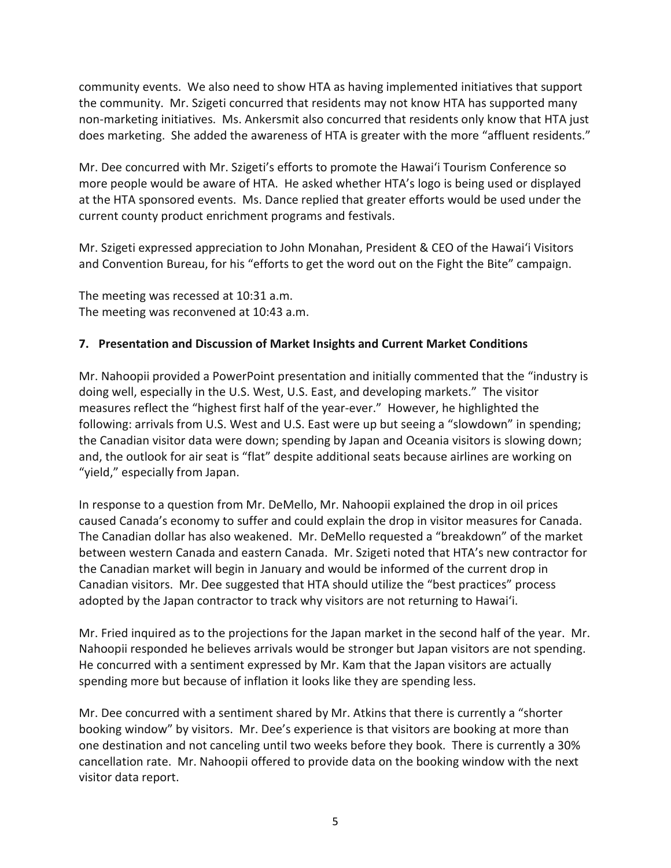community events. We also need to show HTA as having implemented initiatives that support the community. Mr. Szigeti concurred that residents may not know HTA has supported many non-marketing initiatives. Ms. Ankersmit also concurred that residents only know that HTA just does marketing. She added the awareness of HTA is greater with the more "affluent residents."

Mr. Dee concurred with Mr. Szigeti's efforts to promote the Hawai'i Tourism Conference so more people would be aware of HTA. He asked whether HTA's logo is being used or displayed at the HTA sponsored events. Ms. Dance replied that greater efforts would be used under the current county product enrichment programs and festivals.

Mr. Szigeti expressed appreciation to John Monahan, President & CEO of the Hawai'i Visitors and Convention Bureau, for his "efforts to get the word out on the Fight the Bite" campaign.

The meeting was recessed at 10:31 a.m. The meeting was reconvened at 10:43 a.m.

### **7. Presentation and Discussion of Market Insights and Current Market Conditions**

Mr. Nahoopii provided a PowerPoint presentation and initially commented that the "industry is doing well, especially in the U.S. West, U.S. East, and developing markets." The visitor measures reflect the "highest first half of the year-ever." However, he highlighted the following: arrivals from U.S. West and U.S. East were up but seeing a "slowdown" in spending; the Canadian visitor data were down; spending by Japan and Oceania visitors is slowing down; and, the outlook for air seat is "flat" despite additional seats because airlines are working on "yield," especially from Japan.

In response to a question from Mr. DeMello, Mr. Nahoopii explained the drop in oil prices caused Canada's economy to suffer and could explain the drop in visitor measures for Canada. The Canadian dollar has also weakened. Mr. DeMello requested a "breakdown" of the market between western Canada and eastern Canada. Mr. Szigeti noted that HTA's new contractor for the Canadian market will begin in January and would be informed of the current drop in Canadian visitors. Mr. Dee suggested that HTA should utilize the "best practices" process adopted by the Japan contractor to track why visitors are not returning to Hawai'i.

Mr. Fried inquired as to the projections for the Japan market in the second half of the year. Mr. Nahoopii responded he believes arrivals would be stronger but Japan visitors are not spending. He concurred with a sentiment expressed by Mr. Kam that the Japan visitors are actually spending more but because of inflation it looks like they are spending less.

Mr. Dee concurred with a sentiment shared by Mr. Atkins that there is currently a "shorter booking window" by visitors. Mr. Dee's experience is that visitors are booking at more than one destination and not canceling until two weeks before they book. There is currently a 30% cancellation rate. Mr. Nahoopii offered to provide data on the booking window with the next visitor data report.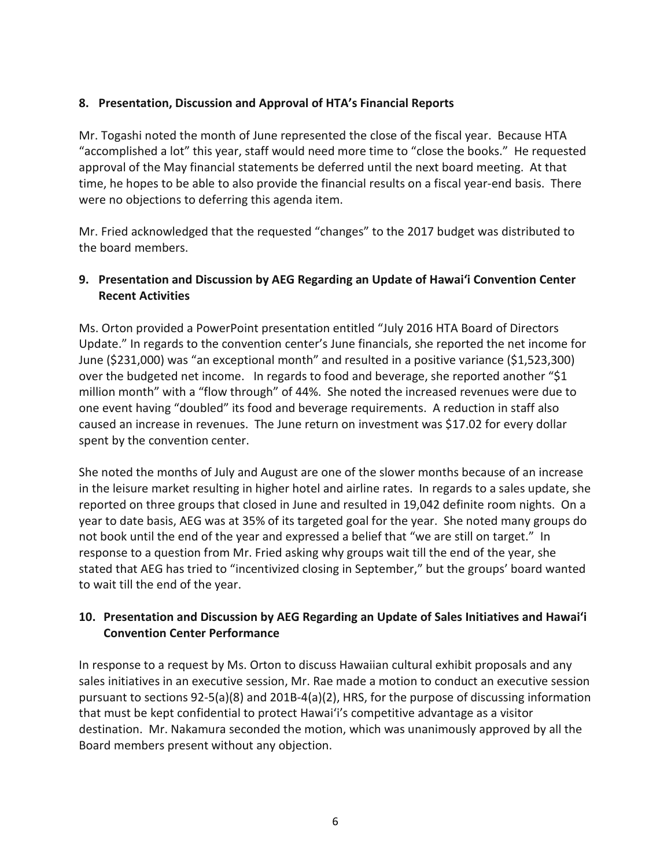## **8. Presentation, Discussion and Approval of HTA's Financial Reports**

Mr. Togashi noted the month of June represented the close of the fiscal year. Because HTA "accomplished a lot" this year, staff would need more time to "close the books." He requested approval of the May financial statements be deferred until the next board meeting. At that time, he hopes to be able to also provide the financial results on a fiscal year-end basis. There were no objections to deferring this agenda item.

Mr. Fried acknowledged that the requested "changes" to the 2017 budget was distributed to the board members.

# **9. Presentation and Discussion by AEG Regarding an Update of Hawai'i Convention Center Recent Activities**

Ms. Orton provided a PowerPoint presentation entitled "July 2016 HTA Board of Directors Update." In regards to the convention center's June financials, she reported the net income for June (\$231,000) was "an exceptional month" and resulted in a positive variance (\$1,523,300) over the budgeted net income. In regards to food and beverage, she reported another "\$1 million month" with a "flow through" of 44%. She noted the increased revenues were due to one event having "doubled" its food and beverage requirements. A reduction in staff also caused an increase in revenues. The June return on investment was \$17.02 for every dollar spent by the convention center.

She noted the months of July and August are one of the slower months because of an increase in the leisure market resulting in higher hotel and airline rates. In regards to a sales update, she reported on three groups that closed in June and resulted in 19,042 definite room nights. On a year to date basis, AEG was at 35% of its targeted goal for the year. She noted many groups do not book until the end of the year and expressed a belief that "we are still on target." In response to a question from Mr. Fried asking why groups wait till the end of the year, she stated that AEG has tried to "incentivized closing in September," but the groups' board wanted to wait till the end of the year.

# **10. Presentation and Discussion by AEG Regarding an Update of Sales Initiatives and Hawai'i Convention Center Performance**

In response to a request by Ms. Orton to discuss Hawaiian cultural exhibit proposals and any sales initiatives in an executive session, Mr. Rae made a motion to conduct an executive session pursuant to sections 92-5(a)(8) and 201B-4(a)(2), HRS, for the purpose of discussing information that must be kept confidential to protect Hawai'i's competitive advantage as a visitor destination. Mr. Nakamura seconded the motion, which was unanimously approved by all the Board members present without any objection.